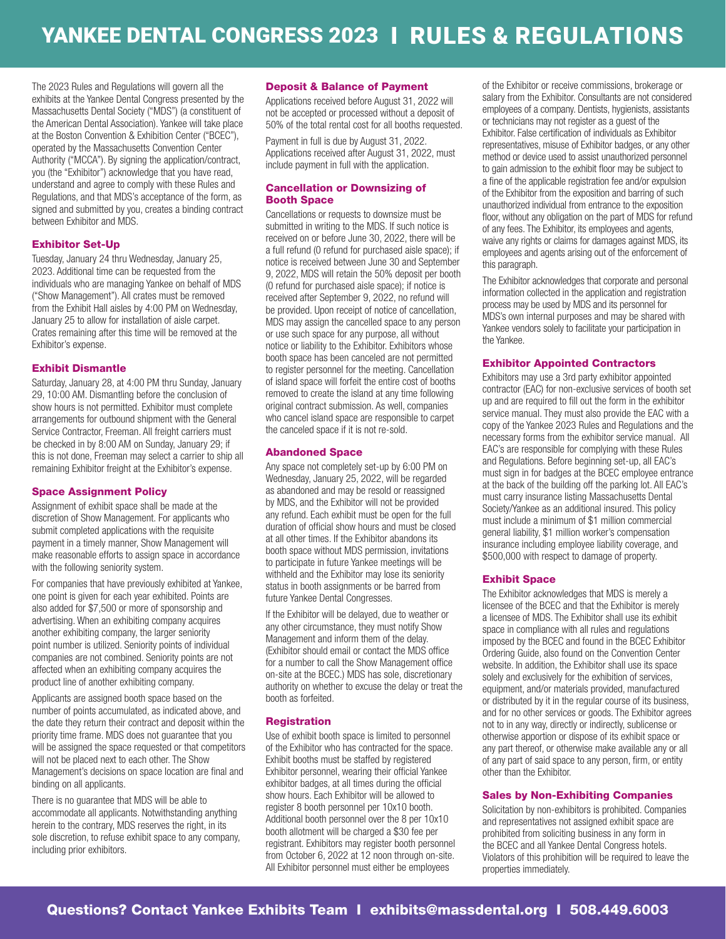The 2023 Rules and Regulations will govern all the exhibits at the Yankee Dental Congress presented by the Massachusetts Dental Society ("MDS") (a constituent of the American Dental Association). Yankee will take place at the Boston Convention & Exhibition Center ("BCEC"), operated by the Massachusetts Convention Center Authority ("MCCA"). By signing the application/contract, you (the "Exhibitor") acknowledge that you have read, understand and agree to comply with these Rules and Regulations, and that MDS's acceptance of the form, as signed and submitted by you, creates a binding contract between Exhibitor and MDS.

## Exhibitor Set-Up

Tuesday, January 24 thru Wednesday, January 25, 2023. Additional time can be requested from the individuals who are managing Yankee on behalf of MDS ("Show Management"). All crates must be removed from the Exhibit Hall aisles by 4:00 PM on Wednesday, January 25 to allow for installation of aisle carpet. Crates remaining after this time will be removed at the Exhibitor's expense.

## Exhibit Dismantle

Saturday, January 28, at 4:00 PM thru Sunday, January 29, 10:00 AM. Dismantling before the conclusion of show hours is not permitted. Exhibitor must complete arrangements for outbound shipment with the General Service Contractor, Freeman. All freight carriers must be checked in by 8:00 AM on Sunday, January 29; if this is not done, Freeman may select a carrier to ship all remaining Exhibitor freight at the Exhibitor's expense.

## Space Assignment Policy

Assignment of exhibit space shall be made at the discretion of Show Management. For applicants who submit completed applications with the requisite payment in a timely manner, Show Management will make reasonable efforts to assign space in accordance with the following seniority system.

For companies that have previously exhibited at Yankee, one point is given for each year exhibited. Points are also added for \$7,500 or more of sponsorship and advertising. When an exhibiting company acquires another exhibiting company, the larger seniority point number is utilized. Seniority points of individual companies are not combined. Seniority points are not affected when an exhibiting company acquires the product line of another exhibiting company.

Applicants are assigned booth space based on the number of points accumulated, as indicated above, and the date they return their contract and deposit within the priority time frame. MDS does not guarantee that you will be assigned the space requested or that competitors will not be placed next to each other. The Show Management's decisions on space location are final and binding on all applicants.

There is no guarantee that MDS will be able to accommodate all applicants. Notwithstanding anything herein to the contrary, MDS reserves the right, in its sole discretion, to refuse exhibit space to any company, including prior exhibitors.

#### Deposit & Balance of Payment

Applications received before August 31, 2022 will not be accepted or processed without a deposit of 50% of the total rental cost for all booths requested.

Payment in full is due by August 31, 2022. Applications received after August 31, 2022, must

## Cancellation or Downsizing of Booth Space

include payment in full with the application.

Cancellations or requests to downsize must be submitted in writing to the MDS. If such notice is received on or before June 30, 2022, there will be a full refund (0 refund for purchased aisle space); if notice is received between June 30 and September 9, 2022, MDS will retain the 50% deposit per booth (0 refund for purchased aisle space); if notice is received after September 9, 2022, no refund will be provided. Upon receipt of notice of cancellation, MDS may assign the cancelled space to any person or use such space for any purpose, all without notice or liability to the Exhibitor. Exhibitors whose booth space has been canceled are not permitted to register personnel for the meeting. Cancellation of island space will forfeit the entire cost of booths removed to create the island at any time following original contract submission. As well, companies who cancel island space are responsible to carpet the canceled space if it is not re-sold.

### Abandoned Space

Any space not completely set-up by 6:00 PM on Wednesday, January 25, 2022, will be regarded as abandoned and may be resold or reassigned by MDS, and the Exhibitor will not be provided any refund. Each exhibit must be open for the full duration of official show hours and must be closed at all other times. If the Exhibitor abandons its booth space without MDS permission, invitations to participate in future Yankee meetings will be withheld and the Exhibitor may lose its seniority status in booth assignments or be barred from future Yankee Dental Congresses.

If the Exhibitor will be delayed, due to weather or any other circumstance, they must notify Show Management and inform them of the delay. (Exhibitor should email or contact the MDS office for a number to call the Show Management office on-site at the BCEC.) MDS has sole, discretionary authority on whether to excuse the delay or treat the booth as forfeited.

## **Registration**

Use of exhibit booth space is limited to personnel of the Exhibitor who has contracted for the space. Exhibit booths must be staffed by registered Exhibitor personnel, wearing their official Yankee exhibitor badges, at all times during the official show hours. Each Exhibitor will be allowed to register 8 booth personnel per 10x10 booth. Additional booth personnel over the 8 per 10x10 booth allotment will be charged a \$30 fee per registrant. Exhibitors may register booth personnel from October 6, 2022 at 12 noon through on-site. All Exhibitor personnel must either be employees

of the Exhibitor or receive commissions, brokerage or salary from the Exhibitor. Consultants are not considered employees of a company. Dentists, hygienists, assistants or technicians may not register as a guest of the Exhibitor. False certification of individuals as Exhibitor representatives, misuse of Exhibitor badges, or any other method or device used to assist unauthorized personnel to gain admission to the exhibit floor may be subject to a fine of the applicable registration fee and/or expulsion of the Exhibitor from the exposition and barring of such unauthorized individual from entrance to the exposition floor, without any obligation on the part of MDS for refund of any fees. The Exhibitor, its employees and agents, waive any rights or claims for damages against MDS, its employees and agents arising out of the enforcement of this paragraph.

The Exhibitor acknowledges that corporate and personal information collected in the application and registration process may be used by MDS and its personnel for MDS's own internal purposes and may be shared with Yankee vendors solely to facilitate your participation in the Yankee.

## Exhibitor Appointed Contractors

Exhibitors may use a 3rd party exhibitor appointed contractor (EAC) for non-exclusive services of booth set up and are required to fill out the form in the exhibitor service manual. They must also provide the EAC with a copy of the Yankee 2023 Rules and Regulations and the necessary forms from the exhibitor service manual. All EAC's are responsible for complying with these Rules and Regulations. Before beginning set-up, all EAC's must sign in for badges at the BCEC employee entrance at the back of the building off the parking lot. All EAC's must carry insurance listing Massachusetts Dental Society/Yankee as an additional insured. This policy must include a minimum of \$1 million commercial general liability, \$1 million worker's compensation insurance including employee liability coverage, and \$500,000 with respect to damage of property.

## Exhibit Space

The Exhibitor acknowledges that MDS is merely a licensee of the BCEC and that the Exhibitor is merely a licensee of MDS. The Exhibitor shall use its exhibit space in compliance with all rules and regulations imposed by the BCEC and found in the BCEC Exhibitor Ordering Guide, also found on the Convention Center website. In addition, the Exhibitor shall use its space solely and exclusively for the exhibition of services, equipment, and/or materials provided, manufactured or distributed by it in the regular course of its business, and for no other services or goods. The Exhibitor agrees not to in any way, directly or indirectly, sublicense or otherwise apportion or dispose of its exhibit space or any part thereof, or otherwise make available any or all of any part of said space to any person, firm, or entity other than the Exhibitor.

## Sales by Non-Exhibiting Companies

Solicitation by non-exhibitors is prohibited. Companies and representatives not assigned exhibit space are prohibited from soliciting business in any form in the BCEC and all Yankee Dental Congress hotels. Violators of this prohibition will be required to leave the properties immediately.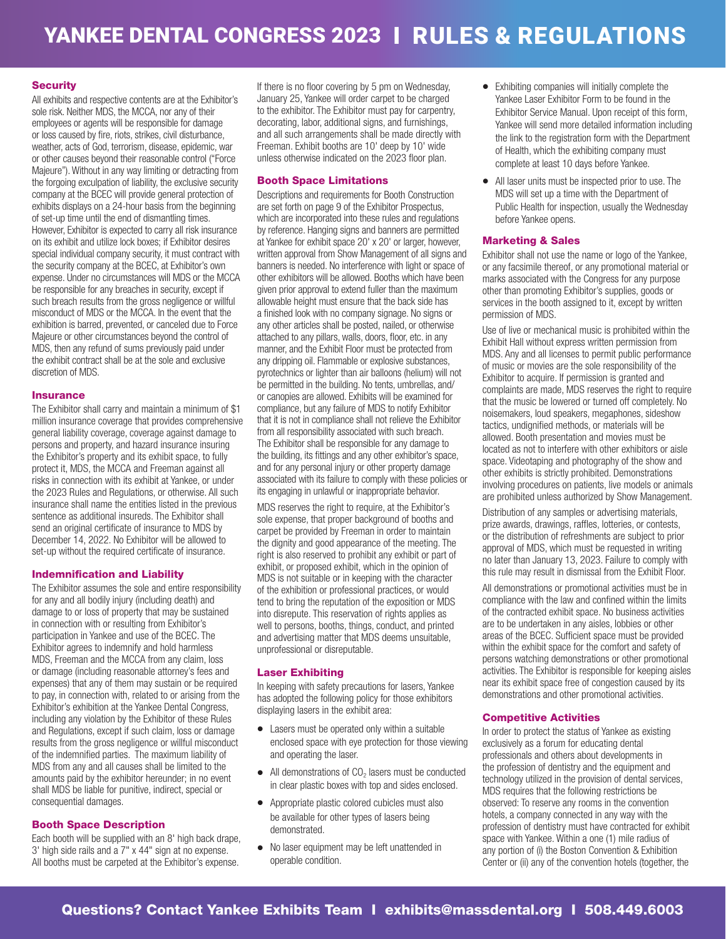## **Security**

All exhibits and respective contents are at the Exhibitor's sole risk. Neither MDS, the MCCA, nor any of their employees or agents will be responsible for damage or loss caused by fire, riots, strikes, civil disturbance, weather, acts of God, terrorism, disease, epidemic, war or other causes beyond their reasonable control ("Force Majeure"). Without in any way limiting or detracting from the forgoing exculpation of liability, the exclusive security company at the BCEC will provide general protection of exhibits displays on a 24-hour basis from the beginning of set-up time until the end of dismantling times. However, Exhibitor is expected to carry all risk insurance on its exhibit and utilize lock boxes; if Exhibitor desires special individual company security, it must contract with the security company at the BCEC, at Exhibitor's own expense. Under no circumstances will MDS or the MCCA be responsible for any breaches in security, except if such breach results from the gross negligence or willful misconduct of MDS or the MCCA. In the event that the exhibition is barred, prevented, or canceled due to Force Majeure or other circumstances beyond the control of MDS, then any refund of sums previously paid under the exhibit contract shall be at the sole and exclusive discretion of MDS.

## **Insurance**

The Exhibitor shall carry and maintain a minimum of \$1 million insurance coverage that provides comprehensive general liability coverage, coverage against damage to persons and property, and hazard insurance insuring the Exhibitor's property and its exhibit space, to fully protect it, MDS, the MCCA and Freeman against all risks in connection with its exhibit at Yankee, or under the 2023 Rules and Regulations, or otherwise. All such insurance shall name the entities listed in the previous sentence as additional insureds. The Exhibitor shall send an original certificate of insurance to MDS by December 14, 2022. No Exhibitor will be allowed to set-up without the required certificate of insurance.

## Indemnification and Liability

The Exhibitor assumes the sole and entire responsibility for any and all bodily injury (including death) and damage to or loss of property that may be sustained in connection with or resulting from Exhibitor's participation in Yankee and use of the BCEC. The Exhibitor agrees to indemnify and hold harmless MDS, Freeman and the MCCA from any claim, loss or damage (including reasonable attorney's fees and expenses) that any of them may sustain or be required to pay, in connection with, related to or arising from the Exhibitor's exhibition at the Yankee Dental Congress, including any violation by the Exhibitor of these Rules and Regulations, except if such claim, loss or damage results from the gross negligence or willful misconduct of the indemnified parties. The maximum liability of MDS from any and all causes shall be limited to the amounts paid by the exhibitor hereunder; in no event shall MDS be liable for punitive, indirect, special or consequential damages.

## Booth Space Description

Each booth will be supplied with an 8' high back drape, 3' high side rails and a 7" x 44" sign at no expense. All booths must be carpeted at the Exhibitor's expense.

If there is no floor covering by 5 pm on Wednesday, January 25, Yankee will order carpet to be charged to the exhibitor. The Exhibitor must pay for carpentry, decorating, labor, additional signs, and furnishings, and all such arrangements shall be made directly with Freeman. Exhibit booths are 10' deep by 10' wide unless otherwise indicated on the 2023 floor plan.

## Booth Space Limitations

Descriptions and requirements for Booth Construction are set forth on page 9 of the Exhibitor Prospectus, which are incorporated into these rules and regulations by reference. Hanging signs and banners are permitted at Yankee for exhibit space 20' x 20' or larger, however, written approval from Show Management of all signs and banners is needed. No interference with light or space of other exhibitors will be allowed. Booths which have been given prior approval to extend fuller than the maximum allowable height must ensure that the back side has a finished look with no company signage. No signs or any other articles shall be posted, nailed, or otherwise attached to any pillars, walls, doors, floor, etc. in any manner, and the Exhibit Floor must be protected from any dripping oil. Flammable or explosive substances, pyrotechnics or lighter than air balloons (helium) will not be permitted in the building. No tents, umbrellas, and/ or canopies are allowed. Exhibits will be examined for compliance, but any failure of MDS to notify Exhibitor that it is not in compliance shall not relieve the Exhibitor from all responsibility associated with such breach. The Exhibitor shall be responsible for any damage to the building, its fittings and any other exhibitor's space, and for any personal injury or other property damage associated with its failure to comply with these policies or its engaging in unlawful or inappropriate behavior.

MDS reserves the right to require, at the Exhibitor's sole expense, that proper background of booths and carpet be provided by Freeman in order to maintain the dignity and good appearance of the meeting. The right is also reserved to prohibit any exhibit or part of exhibit, or proposed exhibit, which in the opinion of MDS is not suitable or in keeping with the character of the exhibition or professional practices, or would tend to bring the reputation of the exposition or MDS into disrepute. This reservation of rights applies as well to persons, booths, things, conduct, and printed and advertising matter that MDS deems unsuitable, unprofessional or disreputable.

## Laser Exhibiting

In keeping with safety precautions for lasers, Yankee has adopted the following policy for those exhibitors displaying lasers in the exhibit area:

- Lasers must be operated only within a suitable enclosed space with eye protection for those viewing and operating the laser.
- $\bullet$  All demonstrations of CO<sub>2</sub> lasers must be conducted in clear plastic boxes with top and sides enclosed.
- Appropriate plastic colored cubicles must also be available for other types of lasers being demonstrated.
- No laser equipment may be left unattended in operable condition.
- Exhibiting companies will initially complete the Yankee Laser Exhibitor Form to be found in the Exhibitor Service Manual. Upon receipt of this form, Yankee will send more detailed information including the link to the registration form with the Department of Health, which the exhibiting company must complete at least 10 days before Yankee.
- All laser units must be inspected prior to use. The MDS will set up a time with the Department of Public Health for inspection, usually the Wednesday before Yankee opens.

## Marketing & Sales

Exhibitor shall not use the name or logo of the Yankee, or any facsimile thereof, or any promotional material or marks associated with the Congress for any purpose other than promoting Exhibitor's supplies, goods or services in the booth assigned to it, except by written permission of MDS.

Use of live or mechanical music is prohibited within the Exhibit Hall without express written permission from MDS. Any and all licenses to permit public performance of music or movies are the sole responsibility of the Exhibitor to acquire. If permission is granted and complaints are made, MDS reserves the right to require that the music be lowered or turned off completely. No noisemakers, loud speakers, megaphones, sideshow tactics, undignified methods, or materials will be allowed. Booth presentation and movies must be located as not to interfere with other exhibitors or aisle space. Videotaping and photography of the show and other exhibits is strictly prohibited. Demonstrations involving procedures on patients, live models or animals are prohibited unless authorized by Show Management.

Distribution of any samples or advertising materials, prize awards, drawings, raffles, lotteries, or contests, or the distribution of refreshments are subject to prior approval of MDS, which must be requested in writing no later than January 13, 2023. Failure to comply with this rule may result in dismissal from the Exhibit Floor.

All demonstrations or promotional activities must be in compliance with the law and confined within the limits of the contracted exhibit space. No business activities are to be undertaken in any aisles, lobbies or other areas of the BCEC. Sufficient space must be provided within the exhibit space for the comfort and safety of persons watching demonstrations or other promotional activities. The Exhibitor is responsible for keeping aisles near its exhibit space free of congestion caused by its demonstrations and other promotional activities.

## Competitive Activities

In order to protect the status of Yankee as existing exclusively as a forum for educating dental professionals and others about developments in the profession of dentistry and the equipment and technology utilized in the provision of dental services, MDS requires that the following restrictions be observed: To reserve any rooms in the convention hotels, a company connected in any way with the profession of dentistry must have contracted for exhibit space with Yankee. Within a one (1) mile radius of any portion of (i) the Boston Convention & Exhibition Center or (ii) any of the convention hotels (together, the